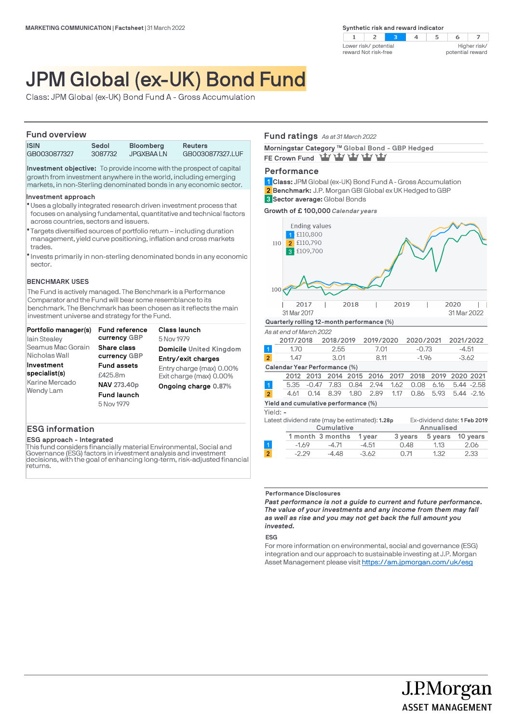$\overline{2}$  $\overline{z}$  $\blacksquare$ ୍ର  $\overline{4}$  $5^{\circ}$ 6 Lower risk/ potential Higher risk/ reward Not risk-free potential reward

# JPM Global (ex-UK) Bond Fund

Class: JPM Global (ex-UK) Bond Fund A - Gross Accumulation

# **Fund overview**

| <b>ISIN</b>  | Sedol   | <b>Bloomberg</b> | <b>Reuters</b>   |  |
|--------------|---------|------------------|------------------|--|
| GB0030877327 | 3087732 | JPGXBAA LN       | GB0030877327.LUF |  |

**Investment objective:** To provide income with the prospect of capital growth from investment anywhere in the world, including emerging markets, in non-Sterling denominated bonds in any economic sector.

### **Investment approach**

- Uses a globally integrated research driven investment process that l focuses on analysing fundamental, quantitative and technical factors across countries, sectors and issuers.
- Targets diversified sources of portfolio return including duration l management, yield curve positioning, inflation and cross markets trades.
- $\bullet$  Invests primarily in non-sterling denominated bonds in any economic sector.

### **BENCHMARK USES**

The Fund is actively managed. The Benchmark is a Performance Comparator and the Fund will bear some resemblance to its benchmark. The Benchmark has been chosen as it reflects the main investment universe and strategy for the Fund.

| Portfolio manager(s) | <b>Fund reference</b> | <b>Class launch</b>      |
|----------------------|-----------------------|--------------------------|
| lain Stealey         | currency GBP          | 5 Nov 1979               |
| Seamus Mac Gorain    | Share class           | Domicile United Kingdom  |
| Nicholas Wall        | currency GBP          | Entry/exit charges       |
| Investment           | <b>Fund assets</b>    | Entry charge (max) 0.00% |
| specialist(s)        | £425.8m               | Exit charge (max) 0.00%  |
| Karine Mercado       | NAV 273.40p           | Ongoing charge 0.87%     |
| Wendy Lam            | <b>Fund launch</b>    |                          |
|                      | 5 Nov 1979            |                          |

# **ESG information**

#### **ESG approach - Integrated**

This fund considers financially material Environmental, Social and Governance (ESG) factors in investment analysis and investment decisions, with the goal of enhancing long-term, risk-adjusted financial returns.

# **Fund ratings** *As at 31 March 2022*

Morningstar Category ™ Global Bond - GBP Hedged FE Crown Fund **Way vary vary vary** 

### **Performance**

**Class:** JPM Global (ex-UK) Bond Fund A - Gross Accumulation **1 Benchmark:** J.P. Morgan GBI Global ex UK Hedged to GBP **2 Sector average:** Global Bonds **3**

**Growth of £ 100,000** *Calendar years*



**Yield and cumulative performance (%)**

### Yield: **-**

|            |  | Latest dividend rate (may be estimated): 1.28p |            |                          |  | Ex-dividend date: 1 Feb 2019 |
|------------|--|------------------------------------------------|------------|--------------------------|--|------------------------------|
| Cumulative |  |                                                | Annualised |                          |  |                              |
|            |  | 1 month 3 months 1 year                        |            | 3 years 5 years 10 years |  |                              |
|            |  |                                                |            |                          |  |                              |

|  | -1.69   | -4.71          | $-4.51$ | 0.48 | 1.13<br>- 2.06 |      |
|--|---------|----------------|---------|------|----------------|------|
|  | $-2.29$ | $-4.48 - 3.62$ |         | 0.71 | 1.32           | 2.33 |
|  |         |                |         |      |                |      |

### **Performance Disclosures**

*Past performance is not a guide to current and future performance. The value of your investments and any income from them may fall as well as rise and you may not get back the full amount you invested.* 

### **ESG**

For more information on environmental, social and governance (ESG) integration and our approach to sustainable investing at J.P. Morgan Asset Management please visit https://am.jpmorgan.com/uk/esg

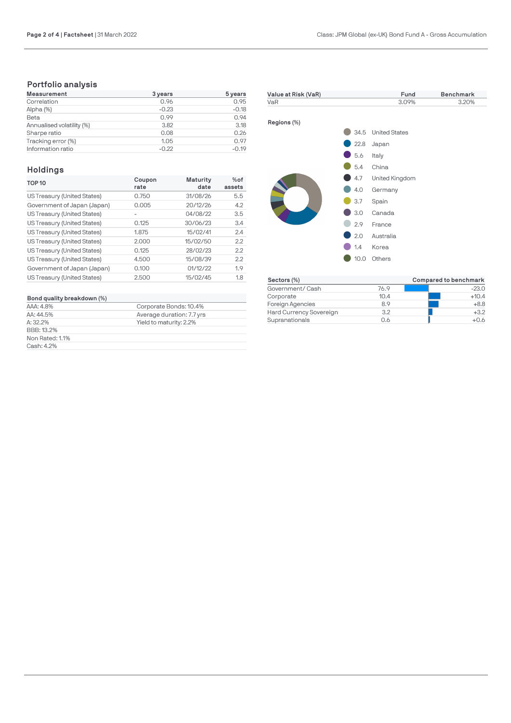# **Portfolio analysis**

| <b>Measurement</b>        | 3 years | 5 years |
|---------------------------|---------|---------|
| Correlation               | 0.96    | 0.95    |
| Alpha (%)                 | $-0.23$ | $-0.18$ |
| Beta                      | 0.99    | 0.94    |
| Annualised volatility (%) | 3.82    | 3.18    |
| Sharpe ratio              | 0.08    | 0.26    |
| Tracking error (%)        | 1.05    | 0.97    |
| Information ratio         | $-0.22$ | $-0.19$ |

# **Holdings**

| <b>TOP 10</b>               | Coupon<br>rate | Maturity<br>date | $%$ of<br>assets |
|-----------------------------|----------------|------------------|------------------|
| US Treasury (United States) | 0.750          | 31/08/26         | 5.5              |
| Government of Japan (Japan) | 0.005          | 20/12/26         | 4.2              |
| US Treasury (United States) |                | 04/08/22         | 3.5              |
| US Treasury (United States) | 0.125          | 30/06/23         | 3.4              |
| US Treasury (United States) | 1.875          | 15/02/41         | 2.4              |
| US Treasury (United States) | 2.000          | 15/02/50         | 2.2              |
| US Treasury (United States) | 0.125          | 28/02/23         | 2.2              |
| US Treasury (United States) | 4.500          | 15/08/39         | 2.2              |
| Government of Japan (Japan) | 0.100          | 01/12/22         | 1.9              |
| US Treasury (United States) | 2.500          | 15/02/45         | 1.8              |

# **Bond quality breakdown (%)**

| Bond quality breakdown (%) |                           |  |  |  |
|----------------------------|---------------------------|--|--|--|
| AAA: 4.8%                  | Corporate Bonds: 10.4%    |  |  |  |
| AA: 44.5%                  | Average duration: 7.7 yrs |  |  |  |
| $A: 32.2\%$                | Yield to maturity: 2.2%   |  |  |  |
| BBB: 13.2%                 |                           |  |  |  |
| Non Rated: 1.1%            |                           |  |  |  |
| Cash: 4.2%                 |                           |  |  |  |



| Sectors (%)             |      | Compared to benchmark |
|-------------------------|------|-----------------------|
| Government/ Cash        | 76.9 | $-23.0$               |
| Corporate               | 10.4 | $+10.4$               |
| Foreign Agencies        | 8.9  | $+8.8$                |
| Hard Currency Sovereign | 3.2  | $+3.2$                |
| Supranationals          | 0.6  | +0.6                  |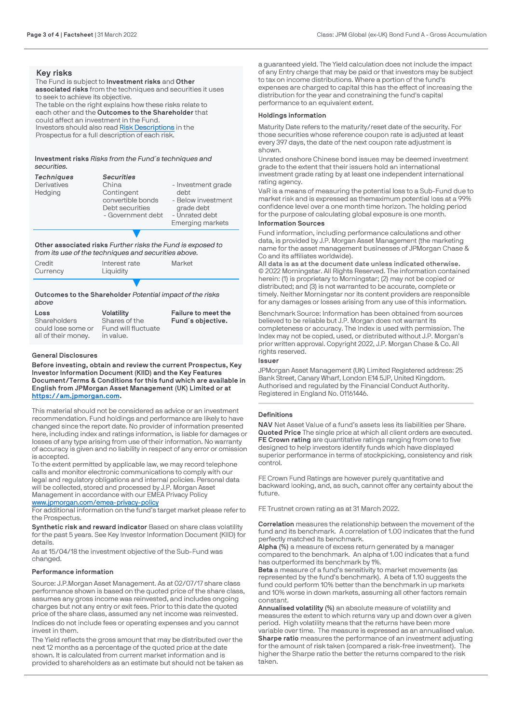# **Key risks**

The Fund is subject to **Investment risks** and **Other associated risks** from the techniques and securities it uses to seek to achieve its objective. The table on the right explains how these risks relate to each other and the **Outcomes to the Shareholder** that could affect an investment in the Fund. Investors should also read [Risk Descriptions](https://am.jpmorgan.com/gb/en/asset-management/adv/products/fund-explorer/oeics) in the Prospectus for a full description of each risk.

**Investment risks** *Risks from the Fund´s techniques and securities.*

| <b>Techniques</b> | <b>Securities</b> |                         |
|-------------------|-------------------|-------------------------|
| Derivatives       | China             | - Investment grade      |
| Hedging           | Contingent        | debt                    |
|                   | convertible bonds | - Below investment      |
|                   | Debt securities   | grade debt              |
|                   | - Government debt | - Unrated debt          |
|                   |                   | <b>Emerging markets</b> |
|                   |                   |                         |

**Other associated risks** *Further risks the Fund is exposed to from its use of the techniques and securities above.*

| Credit<br>Currency | Interest rate<br>Liquidity | Market |
|--------------------|----------------------------|--------|
|                    |                            |        |

**Outcomes to the Shareholder** *Potential impact of the risks above*

| Loss                | <b>Volatility</b>   | Failure to meet the |
|---------------------|---------------------|---------------------|
| Shareholders        | Shares of the       | Fund's objective.   |
| could lose some or  | Fund will fluctuate |                     |
| all of their money. | in value.           |                     |

# **General Disclosures**

**Before investing, obtain and review the current Prospectus, Key Investor Information Document (KIID) and the Key Features Document/Terms & Conditions for this fund which are available in English from JPMorgan Asset Management (UK) Limited or at [https://am.jpmorgan.com](https://am.jpmorgan.com/).** 

This material should not be considered as advice or an investment recommendation. Fund holdings and performance are likely to have changed since the report date. No provider of information presented here, including index and ratings information, is liable for damages or losses of any type arising from use of their information. No warranty of accuracy is given and no liability in respect of any error or omission is accepted.

To the extent permitted by applicable law, we may record telephone calls and monitor electronic communications to comply with our legal and regulatory obligations and internal policies. Personal data will be collected, stored and processed by J.P. Morgan Asset Management in accordance with our EMEA Privacy Policy [www.jpmorgan.com/emea-privacy-policy](https://www.jpmorgan.com/emea-privacy-policy)

For additional information on the fund's target market please refer to the Prospectus.

**Synthetic risk and reward indicator** Based on share class volatility for the past 5 years. See Key Investor Information Document (KIID) for details.

As at 15/04/18 the investment objective of the Sub-Fund was changed.

### **Performance information**

Source: J.P.Morgan Asset Management. As at 02/07/17 share class performance shown is based on the quoted price of the share class, assumes any gross income was reinvested, and includes ongoing charges but not any entry or exit fees. Prior to this date the quoted price of the share class, assumed any net income was reinvested.

Indices do not include fees or operating expenses and you cannot invest in them.

The Yield reflects the gross amount that may be distributed over the next 12 months as a percentage of the quoted price at the date shown. It is calculated from current market information and is provided to shareholders as an estimate but should not be taken as

a guaranteed yield. The Yield calculation does not include the impact of any Entry charge that may be paid or that investors may be subject to tax on income distributions. Where a portion of the fund's expenses are charged to capital this has the effect of increasing the distribution for the year and constraining the fund's capital performance to an equivalent extent.

### **Holdings information**

Maturity Date refers to the maturity/reset date of the security. For those securities whose reference coupon rate is adjusted at least every 397 days, the date of the next coupon rate adjustment is shown.

Unrated onshore Chinese bond issues may be deemed investment grade to the extent that their issuers hold an international investment grade rating by at least one independent international rating agency.

VaR is a means of measuring the potential loss to a Sub-Fund due to market risk and is expressed as themaximum potential loss at a 99% confidence level over a one month time horizon. The holding period for the purpose of calculating global exposure is one month.

# **Information Sources**

Fund information, including performance calculations and other data, is provided by J.P. Morgan Asset Management (the marketing name for the asset management businesses of JPMorgan Chase & Co and its affiliates worldwide).

**All data is as at the document date unless indicated otherwise.** © 2022 Morningstar. All Rights Reserved. The information contained herein: (1) is proprietary to Morningstar; (2) may not be copied or distributed; and (3) is not warranted to be accurate, complete or timely. Neither Morningstar nor its content providers are responsible for any damages or losses arising from any use of this information.

Benchmark Source: Information has been obtained from sources believed to be reliable but J.P. Morgan does not warrant its completeness or accuracy. The Index is used with permission. The Index may not be copied, used, or distributed without J.P. Morgan's prior written approval. Copyright 2022, J.P. Morgan Chase & Co. All rights reserved.

### **Issuer**

JPMorgan Asset Management (UK) Limited Registered address: 25 Bank Street, Canary Wharf, London E14 5JP, United Kingdom. Authorised and regulated by the Financial Conduct Authority. Registered in England No. 01161446.

### **Definitions**

**NAV** Net Asset Value of a fund's assets less its liabilities per Share. **Quoted Price** The single price at which all client orders are executed. **FE Crown rating** are quantitative ratings ranging from one to five designed to help investors identify funds which have displayed superior performance in terms of stockpicking, consistency and risk control.

FE Crown Fund Ratings are however purely quantitative and backward looking, and, as such, cannot offer any certainty about the future.

FE Trustnet crown rating as at 31 March 2022.

**Correlation** measures the relationship between the movement of the fund and its benchmark. A correlation of 1.00 indicates that the fund perfectly matched its benchmark.

**Alpha (%)** a measure of excess return generated by a manager compared to the benchmark. An alpha of 1.00 indicates that a fund has outperformed its benchmark by 1%.

**Beta** a measure of a fund's sensitivity to market movements (as represented by the fund's benchmark). A beta of 1.10 suggests the fund could perform 10% better than the benchmark in up markets and 10% worse in down markets, assuming all other factors remain constant.

**Annualised volatility (%)** an absolute measure of volatility and measures the extent to which returns vary up and down over a given period. High volatility means that the returns have been more variable over time. The measure is expressed as an annualised value. **Sharpe ratio** measures the performance of an investment adjusting for the amount of risk taken (compared a risk-free investment). The higher the Sharpe ratio the better the returns compared to the risk taken.